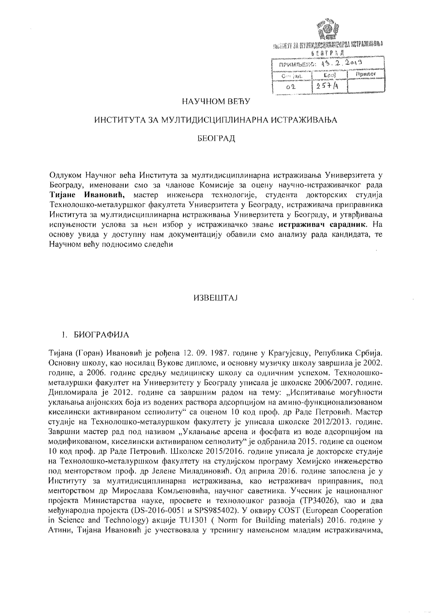

| ПРИМЛЫЕНО: 15.2.2019 |      |          |
|----------------------|------|----------|
| Ort lag.             | Lpc) | ј Прилог |
| ∩9.                  | 257h |          |

### НАУЧНОМ ВЕЋУ

### ИНСТИТУТА ЗА МУЛТИДИСЦИПЛИНАРНА ИСТРАЖИВАЊА

## БЕОГРАД

Одлуком Научног већа Института за мултидисциплинарна истраживања Универзитета у Београду, именовани смо за чланове Комисије за оцену научно-истраживачког рада Тијане Ивановић, мастер инжењера технологије, студента докторских студија Технолошко-металуршког факултета Универзитета у Београду, истраживача приправника Института за мултидисциплинарна истраживања Универзитета у Београду, и утврђивања испуњености услова за њен избор у истраживачко звање истраживач сарадник. На основу увида у доступну нам документацију обавили смо анализу рада кандидата, те Научном већу подносимо следећи

## **ИЗВЕШТАЈ**

#### 1. БИОГРАФИЈА

Тијана (Горан) Ивановић је рођена 12.09.1987. године у Крагујевцу, Република Србија. Основну школу, као носилац Вукове дипломе, и основну музичку школу завршила је 2002. године, а 2006. годинс средњу медицинску школу са одличним успехом. Технолошкометалуршки факултет на Универзитету у Београду уписала је школске 2006/2007. године. Дипломирала је 2012. године са завршним радом на тему: "Испитивање могућности уклањања анјонских боја из водених раствора адсорпцијом на амино-функционализованом киселински активираном сепиолиту" са оценом 10 код проф. др Раде Петровић. Мастер студије на Технолошко-металуршком факултету је уписала школске 2012/2013. године. Завршни мастер рад под називом "Уклањање арсена и фосфата из воде адсорпцијом на модификованом, киселински активираном сепиолиту" је одбранила 2015. године са оценом 10 код проф. др Раде Петровић. Школске 2015/2016. године уписала је докторске студије на Технолошко-металуршком факултету на студијском програму Хемијско инжењерство под менторством проф. др Јелене Миладиновић. Од априла 2016. године запослена је у Институту за мултидисциплинарна истраживања, као истраживач приправник, под менторством др Мирослава Комљеновића, научног саветника. Учесник је националног пројекта Министарства науке, просвете и технолошког развоја (ТРЗ4026), као и два међународна пројекта (DS-2016-0051 и SPS985402). У оквиру COST (European Cooperation in Science and Technology) акције TU1301 (Norm for Building materials) 2016. године у Атини, Тијана Ивановић је учествовала у тренингу намењеном младим истраживачима,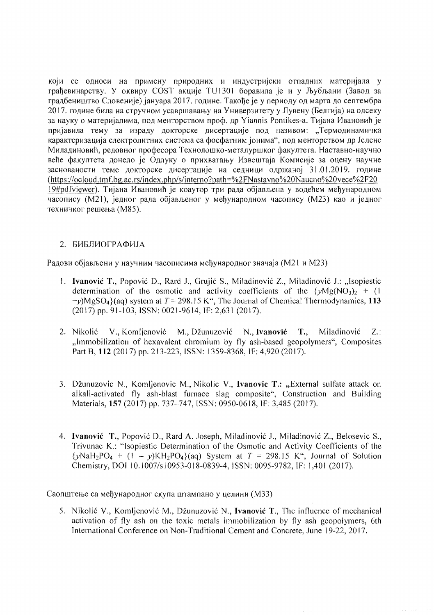који се односи на примену природних и индустријски отпадних материјала у грађевинарству. У оквиру COST акције TU1301 боравила је и у Љубљани (Завод за градбеништво Словеније) јануара 2017. године. Такоће је у периоду од марта до септембра 2017. године била на стручном усавршавању на Универзитету у Лувену (Белгија) на одсеку за науку о материјалима, под менторством проф. др Yiannis Pontikes-а. Тијана Ивановић је пријавила тему за израду докторске дисертације под називом: "Термодинамичка карактеризација електролитних система са фосфатним јонима", под менторством др Јелене Миладиновић, редовног професора Технолошко-металуршког факултета. Наставно-научно веће факултета донело је Одлуку о прихватању Извештаја Комисије за оцену научне заснованости теме докторске дисертације на седници одржаној 31.01.2019. године (https://ocloud.tmf.bg.ac.rs/index.php/s/interno?path=%2FNastavno%20Naucno%20vece%2F20 19#pdfviewer). Тијана Ивановић је коаутор три рада објављена у водећем међународном часопису (М21), једног рада објављеног у међународном часопису (М23) као и једног техничког решења (М85).

# 2. БИБЛИОГРАФИЈА

Радови објављени у научним часописима међународног значаја (М21 и М23)

- 1. Ivanović T., Popović D., Rard J., Grujić S., Miladinović Z., Miladinović J.: "Isopiestic determination of the osmotic and activity coefficients of the  $\{yMg(NO_3)_2 + (1)$  $-y$ )MgSO<sub>4</sub>}(aq) system at T = 298.15 K<sup>o</sup>, The Journal of Chemical Thermodynamics, 113 (2017) pp. 91-103, ISSN: 0021-9614, IF: 2,631 (2017).
- 2. Nikolić V., Komljenović M., Džunuzović N., Ivanović T., Miladinović  $Z$ : "Immobilization of hexavalent chromium by fly ash-based geopolymers", Composites Part B, 112 (2017) pp. 213-223, ISSN: 1359-8368, IF: 4,920 (2017).
- 3. Džunuzovic N., Komljenovic M., Nikolic V., Ivanovic T.: "External sulfate attack on alkali-activated fly ash-blast furnace slag composite", Construction and Building Materials, 157 (2017) pp. 737-747, ISSN: 0950-0618, IF: 3,485 (2017).
- 4. Ivanović T., Popović D., Rard A. Joseph, Miladinović J., Miladinović Z., Belosevic S., Trivunac K.: "Isopiestic Determination of the Osmotic and Activity Coefficients of the  $\{y\text{NaH}_2\text{PO}_4 + (1 - y)\text{KH}_2\text{PO}_4\}$ (aq) System at  $T = 298.15$  K", Journal of Solution Chemistry, DOI 10.1007/s10953-018-0839-4, ISSN: 0095-9782, IF: 1,401 (2017).

Саопштење са међународног скупа штампано у целини (МЗЗ)

5. Nikolić V., Komljenović M., Džunuzović N., Ivanović T., The influence of mechanical activation of fly ash on the toxic metals immobilization by fly ash geopolymers, 6th International Conference on Non-Traditional Cement and Concrete, June 19-22, 2017.